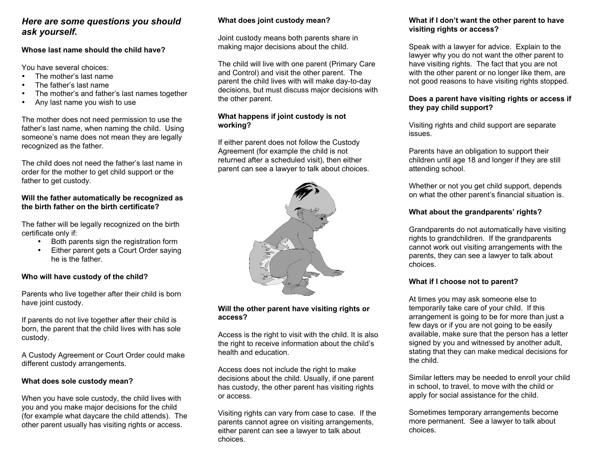# *Here are some questions you should ask yourself.*

#### **Whose last name should the child have?**

You have several choices:

- The mother's last name
- The father's last name
- The mother's and father's last names together
- Any last name you wish to use

The mother does not need permission to use the father's last name, when naming the child. Using someone's name does not mean they are legally recognized as the father.

The child does not need the father's last name inorder for the mother to get child support or the father to get custody.

#### **Will the father automatically be recognized as the birth father on the birth certificate?**

The father will be legally recognized on the birth certificate only if:

- Both parents sign the registration form
- Either parent gets a Court Order saying he is the father.

# **Who will have custody of the child?**

Parents who live together after their child is born have joint custody.

If parents do not live together after their child is born, the parent that the child lives with has sole custody.

A Custody Agreement or Court Order could make different custody arrangements.

# **What does sole custody mean?**

When you have sole custody, the child lives with you and you make major decisions for the child (for example what daycare the child attends). The other parent usually has visiting rights or access.

# **What does joint custody mean?**

Joint custody means both parents share in making major decisions about the child.

The child will live with one parent (Primary Care and Control) and visit the other parent. The parent the child lives with will make day-to-day decisions, but must discuss major decisions with the other parent.

### **What happens if joint custody is not working?**

If either parent does not follow the Custody Agreement (for example the child is not returned after a scheduled visit), then either parent can see a lawyer to talk about choices.



### **Will the other parent have visiting rights or access?**

Access is the right to visit with the child. It is also the right to receive information about the child's health and education.

Access does not include the right to make decisions about the child. Usually, if one parent has custody, the other parent has visiting rights or access.

Visiting rights can vary from case to case. If the parents cannot agree on visiting arrangements, either parent can see a lawyer to talk about choices.

#### **What if I don't want the other parent to have visiting rights or access?**

Speak with a lawyer for advice. Explain to the lawyer why you do not want the other parent to have visiting rights. The fact that you are not with the other parent or no longer like them, are not good reasons to have visiting rights stopped.

#### **Does a parent have visiting rights or access if they pay child support?**

Visiting rights and child support are separate issues.

Parents have an obligation to support their children until age 18 and longer if they are still attending school.

Whether or not you get child support, depends on what the other parent's financial situation is.

# **What about the grandparents' rights?**

Grandparents do not automatically have visiting rights to grandchildren. If the grandparents cannot work out visiting arrangements with the parents, they can see a lawyer to talk about choices.

# **What if I choose not to parent?**

At times you may ask someone else to temporarily take care of your child. If this arrangement is going to be for more than just a few days or if you are not going to be easily available, make sure that the person has a letter signed by you and witnessed by another adult, stating that they can make medical decisions for the child.

Similar letters may be needed to enroll your child in school, to travel, to move with the child or apply for social assistance for the child.

Sometimes temporary arrangements become more permanent. See a lawyer to talk about choices.